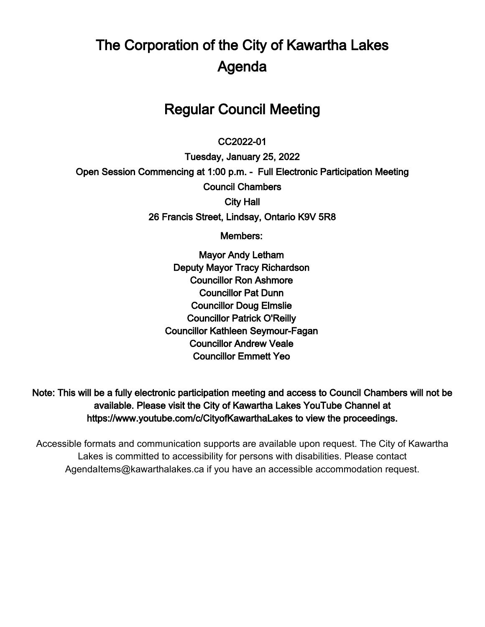# The Corporation of the City of Kawartha Lakes Agenda

# Regular Council Meeting

# $\overline{a}$ CC2022-01

Tuesday, January 25, 2022 Open Session Commencing at 1:00 p.m. - Full Electronic Participation Meeting Council Chambers City Hall 26 Francis Street, Lindsay, Ontario K9V 5R8

Members:

Mayor Andy Letham Deputy Mayor Tracy Richardson Councillor Ron Ashmore Councillor Pat Dunn Councillor Doug Elmslie Councillor Patrick O'Reilly Councillor Kathleen Seymour-Fagan Councillor Andrew Veale Councillor Emmett Yeo

Note: This will be a fully electronic participation meeting and access to Council Chambers will not be available. Please visit the City of Kawartha Lakes YouTube Channel at https://www.youtube.com/c/CityofKawarthaLakes to view the proceedings.

Accessible formats and communication supports are available upon request. The City of Kawartha Lakes is committed to accessibility for persons with disabilities. Please contact AgendaItems@kawarthalakes.ca if you have an accessible accommodation request.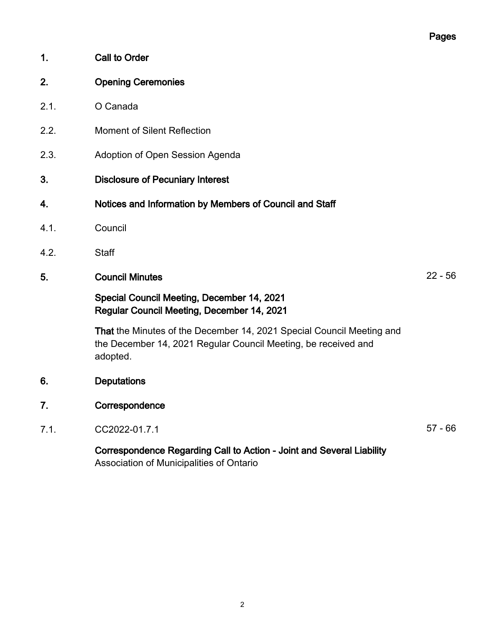- 1. Call to Order
- 2. Opening Ceremonies
- 2.1. O Canada
- 2.2. Moment of Silent Reflection
- 2.3. Adoption of Open Session Agenda
- 3. Disclosure of Pecuniary Interest
- 4. Notices and Information by Members of Council and Staff
- 4.1. Council
- 4.2. Staff
- 5. Council Minutes 22 56

# Special Council Meeting, December 14, 2021 Regular Council Meeting, December 14, 2021

That the Minutes of the December 14, 2021 Special Council Meeting and the December 14, 2021 Regular Council Meeting, be received and adopted.

- 6. Deputations
- 7. Correspondence
- 7.1. CC2022-01.7.1 57 66

# Correspondence Regarding Call to Action - Joint and Several Liability Association of Municipalities of Ontario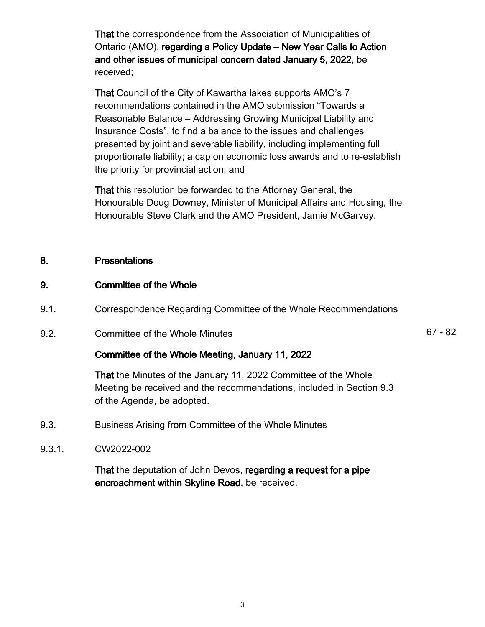That the correspondence from the Association of Municipalities of Ontario (AMO), regarding a Policy Update – New Year Calls to Action and other issues of municipal concern dated January 5, 2022, be received;

That Council of the City of Kawartha lakes supports AMO's 7 recommendations contained in the AMO submission "Towards a Reasonable Balance – Addressing Growing Municipal Liability and Insurance Costs", to find a balance to the issues and challenges presented by joint and severable liability, including implementing full proportionate liability; a cap on economic loss awards and to re-establish the priority for provincial action; and

That this resolution be forwarded to the Attorney General, the Honourable Doug Downey, Minister of Municipal Affairs and Housing, the Honourable Steve Clark and the AMO President, Jamie McGarvey.

# 8. Presentations

# 9. Committee of the Whole

- 9.1. Correspondence Regarding Committee of the Whole Recommendations
- 9.2. Committee of the Whole Minutes 67 82

# Committee of the Whole Meeting, January 11, 2022

That the Minutes of the January 11, 2022 Committee of the Whole Meeting be received and the recommendations, included in Section 9.3 of the Agenda, be adopted.

- 9.3. Business Arising from Committee of the Whole Minutes
- 9.3.1. CW2022-002

That the deputation of John Devos, regarding a request for a pipe encroachment within Skyline Road, be received.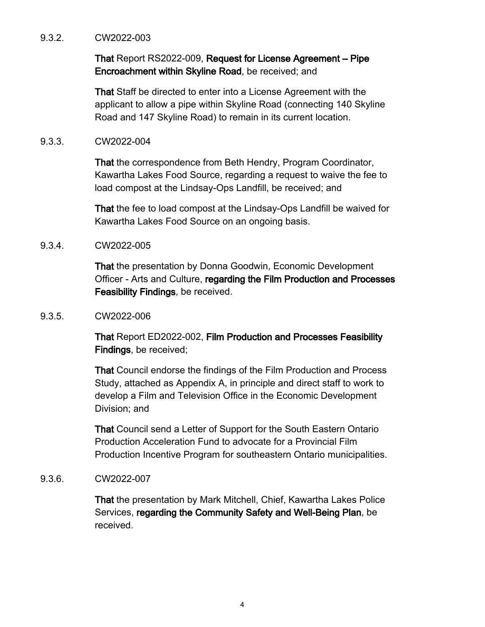#### 9.3.2. CW2022-003

# That Report RS2022-009, Request for License Agreement – Pipe Encroachment within Skyline Road, be received; and

That Staff be directed to enter into a License Agreement with the applicant to allow a pipe within Skyline Road (connecting 140 Skyline Road and 147 Skyline Road) to remain in its current location.

#### 9.3.3. CW2022-004

That the correspondence from Beth Hendry, Program Coordinator, Kawartha Lakes Food Source, regarding a request to waive the fee to load compost at the Lindsay-Ops Landfill, be received; and

That the fee to load compost at the Lindsay-Ops Landfill be waived for Kawartha Lakes Food Source on an ongoing basis.

# 9.3.4. CW2022-005

That the presentation by Donna Goodwin, Economic Development Officer - Arts and Culture, regarding the Film Production and Processes Feasibility Findings, be received.

#### 9.3.5. CW2022-006

That Report ED2022-002, Film Production and Processes Feasibility Findings, be received;

That Council endorse the findings of the Film Production and Process Study, attached as Appendix A, in principle and direct staff to work to develop a Film and Television Office in the Economic Development Division; and

That Council send a Letter of Support for the South Eastern Ontario Production Acceleration Fund to advocate for a Provincial Film Production Incentive Program for southeastern Ontario municipalities.

# 9.3.6. CW2022-007

That the presentation by Mark Mitchell, Chief, Kawartha Lakes Police Services, regarding the Community Safety and Well-Being Plan, be received.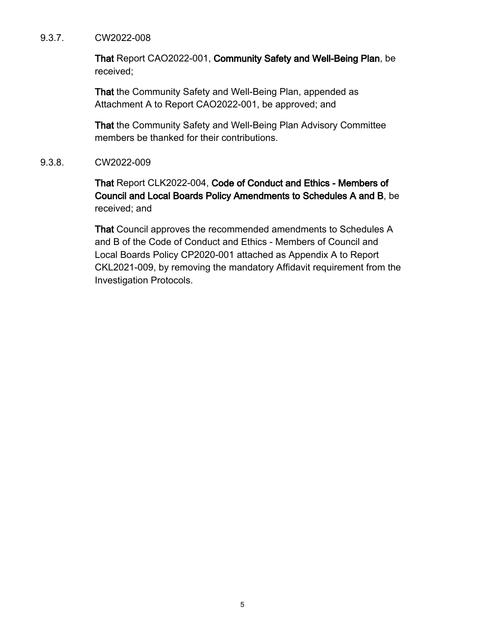#### 9.3.7. CW2022-008

That Report CAO2022-001, Community Safety and Well-Being Plan, be received;

That the Community Safety and Well-Being Plan, appended as Attachment A to Report CAO2022-001, be approved; and

That the Community Safety and Well-Being Plan Advisory Committee members be thanked for their contributions.

9.3.8. CW2022-009

That Report CLK2022-004, Code of Conduct and Ethics - Members of Council and Local Boards Policy Amendments to Schedules A and B, be received; and

That Council approves the recommended amendments to Schedules A and B of the Code of Conduct and Ethics - Members of Council and Local Boards Policy CP2020-001 attached as Appendix A to Report CKL2021-009, by removing the mandatory Affidavit requirement from the Investigation Protocols.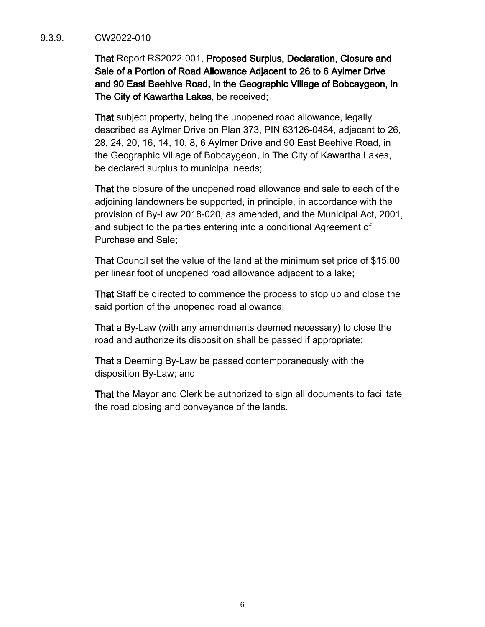# 9.3.9. CW2022-010

That Report RS2022-001, Proposed Surplus, Declaration, Closure and Sale of a Portion of Road Allowance Adjacent to 26 to 6 Aylmer Drive and 90 East Beehive Road, in the Geographic Village of Bobcaygeon, in The City of Kawartha Lakes, be received;

That subject property, being the unopened road allowance, legally described as Aylmer Drive on Plan 373, PIN 63126-0484, adjacent to 26, 28, 24, 20, 16, 14, 10, 8, 6 Aylmer Drive and 90 East Beehive Road, in the Geographic Village of Bobcaygeon, in The City of Kawartha Lakes, be declared surplus to municipal needs;

That the closure of the unopened road allowance and sale to each of the adjoining landowners be supported, in principle, in accordance with the provision of By-Law 2018-020, as amended, and the Municipal Act, 2001, and subject to the parties entering into a conditional Agreement of Purchase and Sale;

That Council set the value of the land at the minimum set price of \$15.00 per linear foot of unopened road allowance adjacent to a lake;

That Staff be directed to commence the process to stop up and close the said portion of the unopened road allowance;

That a By-Law (with any amendments deemed necessary) to close the road and authorize its disposition shall be passed if appropriate;

That a Deeming By-Law be passed contemporaneously with the disposition By-Law; and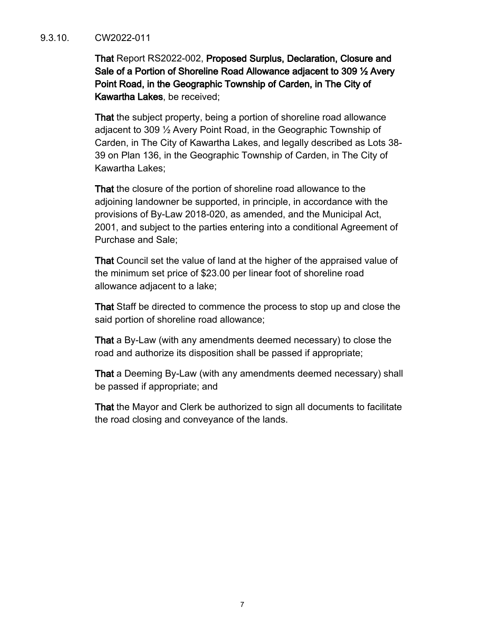#### 9.3.10. CW2022-011

That Report RS2022-002, Proposed Surplus, Declaration, Closure and Sale of a Portion of Shoreline Road Allowance adjacent to 309 ½ Avery Point Road, in the Geographic Township of Carden, in The City of Kawartha Lakes, be received;

That the subject property, being a portion of shoreline road allowance adjacent to 309 ½ Avery Point Road, in the Geographic Township of Carden, in The City of Kawartha Lakes, and legally described as Lots 38- 39 on Plan 136, in the Geographic Township of Carden, in The City of Kawartha Lakes;

That the closure of the portion of shoreline road allowance to the adjoining landowner be supported, in principle, in accordance with the provisions of By-Law 2018-020, as amended, and the Municipal Act, 2001, and subject to the parties entering into a conditional Agreement of Purchase and Sale;

That Council set the value of land at the higher of the appraised value of the minimum set price of \$23.00 per linear foot of shoreline road allowance adjacent to a lake;

That Staff be directed to commence the process to stop up and close the said portion of shoreline road allowance;

That a By-Law (with any amendments deemed necessary) to close the road and authorize its disposition shall be passed if appropriate;

That a Deeming By-Law (with any amendments deemed necessary) shall be passed if appropriate; and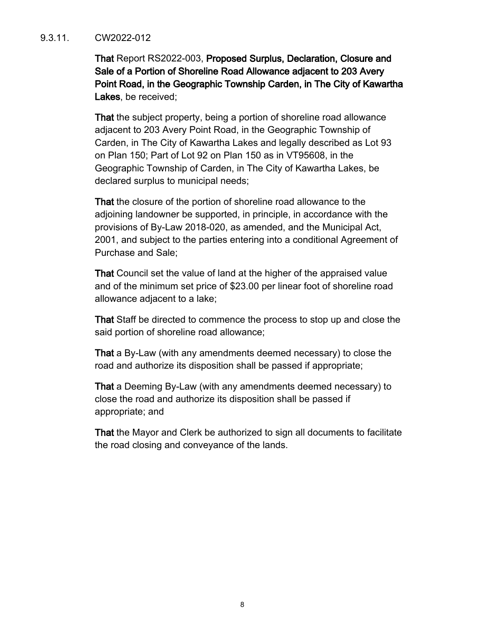# 9.3.11. CW2022-012

That Report RS2022-003, Proposed Surplus, Declaration, Closure and Sale of a Portion of Shoreline Road Allowance adjacent to 203 Avery Point Road, in the Geographic Township Carden, in The City of Kawartha Lakes, be received;

That the subject property, being a portion of shoreline road allowance adjacent to 203 Avery Point Road, in the Geographic Township of Carden, in The City of Kawartha Lakes and legally described as Lot 93 on Plan 150; Part of Lot 92 on Plan 150 as in VT95608, in the Geographic Township of Carden, in The City of Kawartha Lakes, be declared surplus to municipal needs;

That the closure of the portion of shoreline road allowance to the adjoining landowner be supported, in principle, in accordance with the provisions of By-Law 2018-020, as amended, and the Municipal Act, 2001, and subject to the parties entering into a conditional Agreement of Purchase and Sale;

That Council set the value of land at the higher of the appraised value and of the minimum set price of \$23.00 per linear foot of shoreline road allowance adjacent to a lake;

That Staff be directed to commence the process to stop up and close the said portion of shoreline road allowance;

That a By-Law (with any amendments deemed necessary) to close the road and authorize its disposition shall be passed if appropriate;

That a Deeming By-Law (with any amendments deemed necessary) to close the road and authorize its disposition shall be passed if appropriate; and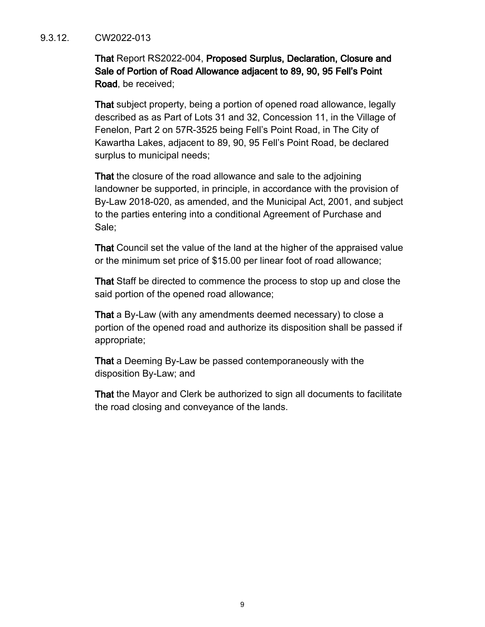#### 9.3.12. CW2022-013

That Report RS2022-004, Proposed Surplus, Declaration, Closure and Sale of Portion of Road Allowance adjacent to 89, 90, 95 Fell's Point Road, be received;

That subject property, being a portion of opened road allowance, legally described as as Part of Lots 31 and 32, Concession 11, in the Village of Fenelon, Part 2 on 57R-3525 being Fell's Point Road, in The City of Kawartha Lakes, adjacent to 89, 90, 95 Fell's Point Road, be declared surplus to municipal needs;

That the closure of the road allowance and sale to the adjoining landowner be supported, in principle, in accordance with the provision of By-Law 2018-020, as amended, and the Municipal Act, 2001, and subject to the parties entering into a conditional Agreement of Purchase and Sale;

That Council set the value of the land at the higher of the appraised value or the minimum set price of \$15.00 per linear foot of road allowance;

That Staff be directed to commence the process to stop up and close the said portion of the opened road allowance;

That a By-Law (with any amendments deemed necessary) to close a portion of the opened road and authorize its disposition shall be passed if appropriate;

That a Deeming By-Law be passed contemporaneously with the disposition By-Law; and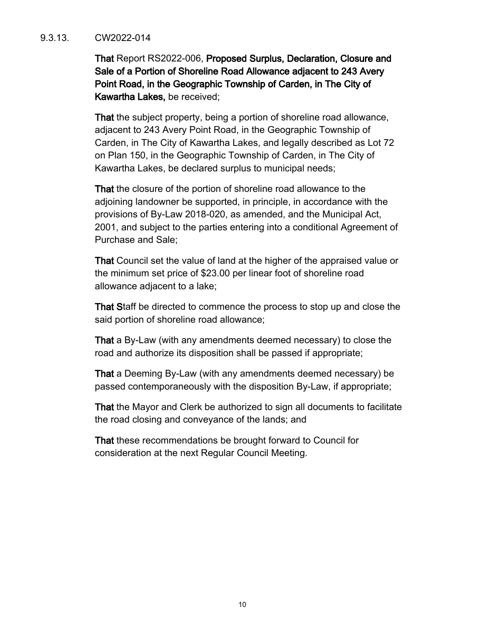#### 9.3.13. CW2022-014

That Report RS2022-006, Proposed Surplus, Declaration, Closure and Sale of a Portion of Shoreline Road Allowance adjacent to 243 Avery Point Road, in the Geographic Township of Carden, in The City of Kawartha Lakes, be received;

That the subject property, being a portion of shoreline road allowance, adjacent to 243 Avery Point Road, in the Geographic Township of Carden, in The City of Kawartha Lakes, and legally described as Lot 72 on Plan 150, in the Geographic Township of Carden, in The City of Kawartha Lakes, be declared surplus to municipal needs;

That the closure of the portion of shoreline road allowance to the adjoining landowner be supported, in principle, in accordance with the provisions of By-Law 2018-020, as amended, and the Municipal Act, 2001, and subject to the parties entering into a conditional Agreement of Purchase and Sale;

That Council set the value of land at the higher of the appraised value or the minimum set price of \$23.00 per linear foot of shoreline road allowance adjacent to a lake;

That Staff be directed to commence the process to stop up and close the said portion of shoreline road allowance;

That a By-Law (with any amendments deemed necessary) to close the road and authorize its disposition shall be passed if appropriate;

That a Deeming By-Law (with any amendments deemed necessary) be passed contemporaneously with the disposition By-Law, if appropriate;

That the Mayor and Clerk be authorized to sign all documents to facilitate the road closing and conveyance of the lands; and

That these recommendations be brought forward to Council for consideration at the next Regular Council Meeting.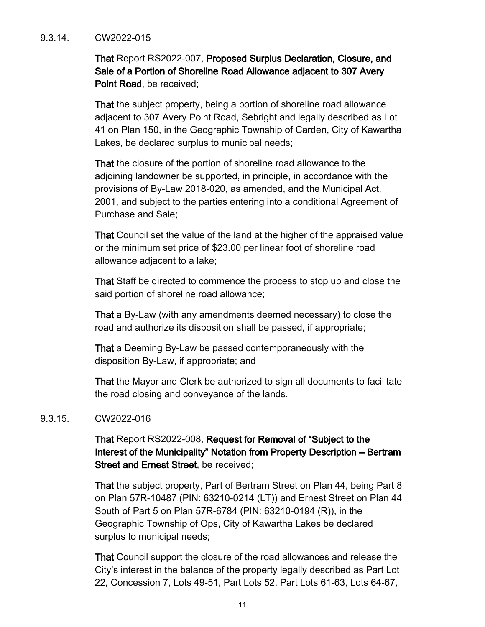# 9.3.14. CW2022-015

That Report RS2022-007, Proposed Surplus Declaration, Closure, and Sale of a Portion of Shoreline Road Allowance adjacent to 307 Avery Point Road, be received;

That the subject property, being a portion of shoreline road allowance adjacent to 307 Avery Point Road, Sebright and legally described as Lot 41 on Plan 150, in the Geographic Township of Carden, City of Kawartha Lakes, be declared surplus to municipal needs;

That the closure of the portion of shoreline road allowance to the adjoining landowner be supported, in principle, in accordance with the provisions of By-Law 2018-020, as amended, and the Municipal Act, 2001, and subject to the parties entering into a conditional Agreement of Purchase and Sale;

That Council set the value of the land at the higher of the appraised value or the minimum set price of \$23.00 per linear foot of shoreline road allowance adjacent to a lake;

That Staff be directed to commence the process to stop up and close the said portion of shoreline road allowance;

That a By-Law (with any amendments deemed necessary) to close the road and authorize its disposition shall be passed, if appropriate;

That a Deeming By-Law be passed contemporaneously with the disposition By-Law, if appropriate; and

That the Mayor and Clerk be authorized to sign all documents to facilitate the road closing and conveyance of the lands.

# 9.3.15. CW2022-016

That Report RS2022-008, Request for Removal of "Subject to the Interest of the Municipality" Notation from Property Description – Bertram Street and Ernest Street, be received;

That the subject property, Part of Bertram Street on Plan 44, being Part 8 on Plan 57R-10487 (PIN: 63210-0214 (LT)) and Ernest Street on Plan 44 South of Part 5 on Plan 57R-6784 (PIN: 63210-0194 (R)), in the Geographic Township of Ops, City of Kawartha Lakes be declared surplus to municipal needs;

That Council support the closure of the road allowances and release the City's interest in the balance of the property legally described as Part Lot 22, Concession 7, Lots 49-51, Part Lots 52, Part Lots 61-63, Lots 64-67,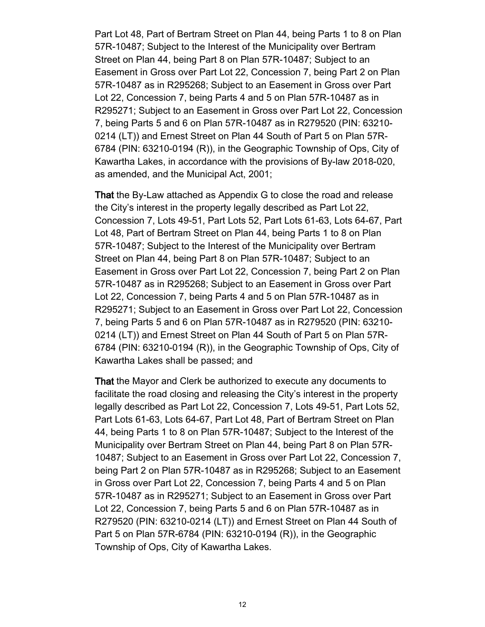Part Lot 48, Part of Bertram Street on Plan 44, being Parts 1 to 8 on Plan 57R-10487; Subject to the Interest of the Municipality over Bertram Street on Plan 44, being Part 8 on Plan 57R-10487; Subject to an Easement in Gross over Part Lot 22, Concession 7, being Part 2 on Plan 57R-10487 as in R295268; Subject to an Easement in Gross over Part Lot 22, Concession 7, being Parts 4 and 5 on Plan 57R-10487 as in R295271; Subject to an Easement in Gross over Part Lot 22, Concession 7, being Parts 5 and 6 on Plan 57R-10487 as in R279520 (PIN: 63210- 0214 (LT)) and Ernest Street on Plan 44 South of Part 5 on Plan 57R-6784 (PIN: 63210-0194 (R)), in the Geographic Township of Ops, City of Kawartha Lakes, in accordance with the provisions of By-law 2018-020, as amended, and the Municipal Act, 2001;

That the By-Law attached as Appendix G to close the road and release the City's interest in the property legally described as Part Lot 22, Concession 7, Lots 49-51, Part Lots 52, Part Lots 61-63, Lots 64-67, Part Lot 48, Part of Bertram Street on Plan 44, being Parts 1 to 8 on Plan 57R-10487; Subject to the Interest of the Municipality over Bertram Street on Plan 44, being Part 8 on Plan 57R-10487; Subject to an Easement in Gross over Part Lot 22, Concession 7, being Part 2 on Plan 57R-10487 as in R295268; Subject to an Easement in Gross over Part Lot 22, Concession 7, being Parts 4 and 5 on Plan 57R-10487 as in R295271; Subject to an Easement in Gross over Part Lot 22, Concession 7, being Parts 5 and 6 on Plan 57R-10487 as in R279520 (PIN: 63210- 0214 (LT)) and Ernest Street on Plan 44 South of Part 5 on Plan 57R-6784 (PIN: 63210-0194 (R)), in the Geographic Township of Ops, City of Kawartha Lakes shall be passed; and

That the Mayor and Clerk be authorized to execute any documents to facilitate the road closing and releasing the City's interest in the property legally described as Part Lot 22, Concession 7, Lots 49-51, Part Lots 52, Part Lots 61-63, Lots 64-67, Part Lot 48, Part of Bertram Street on Plan 44, being Parts 1 to 8 on Plan 57R-10487; Subject to the Interest of the Municipality over Bertram Street on Plan 44, being Part 8 on Plan 57R-10487; Subject to an Easement in Gross over Part Lot 22, Concession 7, being Part 2 on Plan 57R-10487 as in R295268; Subject to an Easement in Gross over Part Lot 22, Concession 7, being Parts 4 and 5 on Plan 57R-10487 as in R295271; Subject to an Easement in Gross over Part Lot 22, Concession 7, being Parts 5 and 6 on Plan 57R-10487 as in R279520 (PIN: 63210-0214 (LT)) and Ernest Street on Plan 44 South of Part 5 on Plan 57R-6784 (PIN: 63210-0194 (R)), in the Geographic Township of Ops, City of Kawartha Lakes.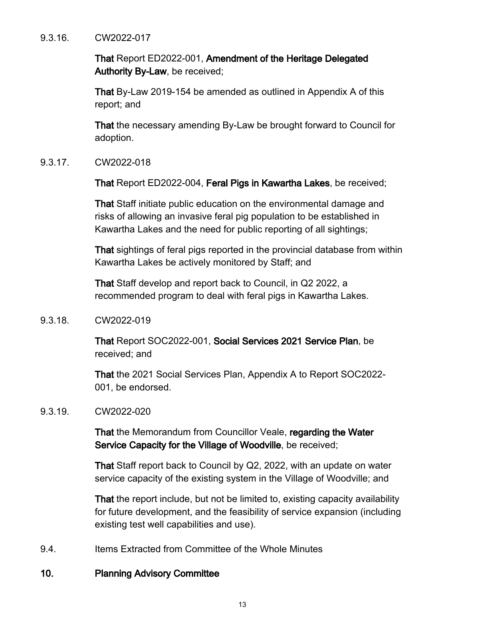#### 9.3.16. CW2022-017

That Report ED2022-001, Amendment of the Heritage Delegated Authority By-Law, be received;

That By-Law 2019-154 be amended as outlined in Appendix A of this report; and

That the necessary amending By-Law be brought forward to Council for adoption.

9.3.17. CW2022-018

That Report ED2022-004, Feral Pigs in Kawartha Lakes, be received;

That Staff initiate public education on the environmental damage and risks of allowing an invasive feral pig population to be established in Kawartha Lakes and the need for public reporting of all sightings;

That sightings of feral pigs reported in the provincial database from within Kawartha Lakes be actively monitored by Staff; and

That Staff develop and report back to Council, in Q2 2022, a recommended program to deal with feral pigs in Kawartha Lakes.

# 9.3.18. CW2022-019

That Report SOC2022-001, Social Services 2021 Service Plan, be received; and

That the 2021 Social Services Plan, Appendix A to Report SOC2022- 001, be endorsed.

#### 9.3.19. CW2022-020

That the Memorandum from Councillor Veale, regarding the Water Service Capacity for the Village of Woodville, be received;

That Staff report back to Council by Q2, 2022, with an update on water service capacity of the existing system in the Village of Woodville; and

That the report include, but not be limited to, existing capacity availability for future development, and the feasibility of service expansion (including existing test well capabilities and use).

9.4. Items Extracted from Committee of the Whole Minutes

# 10. Planning Advisory Committee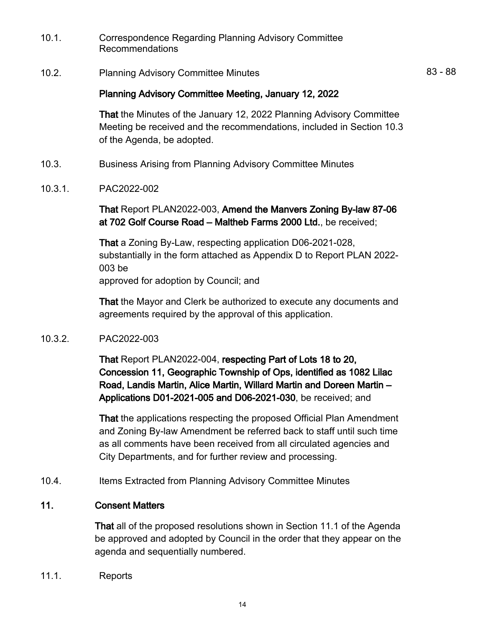- 10.1. Correspondence Regarding Planning Advisory Committee Recommendations
- 10.2. Planning Advisory Committee Minutes **83 88**

That the Minutes of the January 12, 2022 Planning Advisory Committee Meeting be received and the recommendations, included in Section 10.3 of the Agenda, be adopted.

- 10.3. Business Arising from Planning Advisory Committee Minutes
- 10.3.1. PAC2022-002

That Report PLAN2022-003, Amend the Manvers Zoning By-law 87-06 at 702 Golf Course Road – Maltheb Farms 2000 Ltd., be received;

That a Zoning By-Law, respecting application D06-2021-028, substantially in the form attached as Appendix D to Report PLAN 2022- 003 be approved for adoption by Council; and

That the Mayor and Clerk be authorized to execute any documents and agreements required by the approval of this application.

10.3.2. PAC2022-003

That Report PLAN2022-004, respecting Part of Lots 18 to 20, Concession 11, Geographic Township of Ops, identified as 1082 Lilac Road, Landis Martin, Alice Martin, Willard Martin and Doreen Martin – Applications D01-2021-005 and D06-2021-030, be received; and

That the applications respecting the proposed Official Plan Amendment and Zoning By-law Amendment be referred back to staff until such time as all comments have been received from all circulated agencies and City Departments, and for further review and processing.

10.4. Items Extracted from Planning Advisory Committee Minutes

# 11. Consent Matters

That all of the proposed resolutions shown in Section 11.1 of the Agenda be approved and adopted by Council in the order that they appear on the agenda and sequentially numbered.

11.1. Reports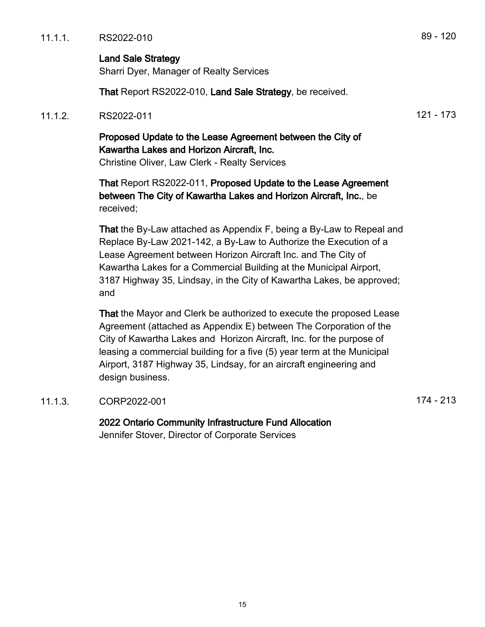# Land Sale Strategy

Sharri Dyer, Manager of Realty Services

That Report RS2022-010, Land Sale Strategy, be received.

# 11.1.2. RS2022-011 **121 - 173**

# Proposed Update to the Lease Agreement between the City of Kawartha Lakes and Horizon Aircraft, Inc.

Christine Oliver, Law Clerk - Realty Services

That Report RS2022-011, Proposed Update to the Lease Agreement between The City of Kawartha Lakes and Horizon Aircraft, Inc., be received;

That the By-Law attached as Appendix F, being a By-Law to Repeal and Replace By-Law 2021-142, a By-Law to Authorize the Execution of a Lease Agreement between Horizon Aircraft Inc. and The City of Kawartha Lakes for a Commercial Building at the Municipal Airport, 3187 Highway 35, Lindsay, in the City of Kawartha Lakes, be approved; and

That the Mayor and Clerk be authorized to execute the proposed Lease Agreement (attached as Appendix E) between The Corporation of the City of Kawartha Lakes and Horizon Aircraft, Inc. for the purpose of leasing a commercial building for a five (5) year term at the Municipal Airport, 3187 Highway 35, Lindsay, for an aircraft engineering and design business.

# 11.1.3. CORP2022-001 200 200 200 200 200 200 201 214 - 213

2022 Ontario Community Infrastructure Fund Allocation Jennifer Stover, Director of Corporate Services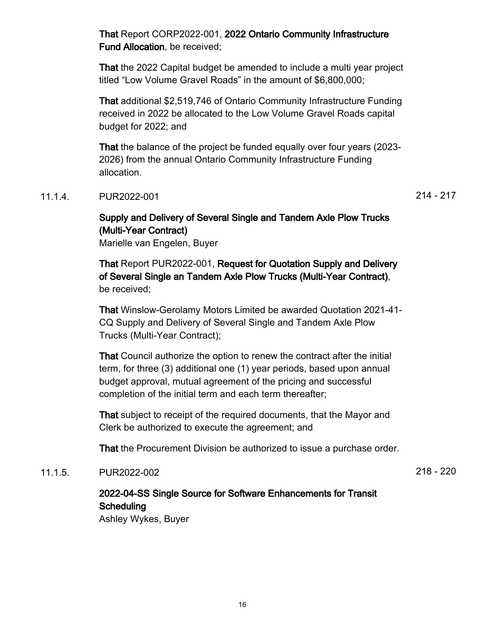That Report CORP2022-001, 2022 Ontario Community Infrastructure Fund Allocation, be received;

That the 2022 Capital budget be amended to include a multi year project titled "Low Volume Gravel Roads" in the amount of \$6,800,000;

That additional \$2,519,746 of Ontario Community Infrastructure Funding received in 2022 be allocated to the Low Volume Gravel Roads capital budget for 2022; and

That the balance of the project be funded equally over four years (2023- 2026) from the annual Ontario Community Infrastructure Funding allocation.

# 11.1.4. PUR2022-001 214 - 217

# Supply and Delivery of Several Single and Tandem Axle Plow Trucks (Multi-Year Contract)

Marielle van Engelen, Buyer

That Report PUR2022-001, Request for Quotation Supply and Delivery of Several Single an Tandem Axle Plow Trucks (Multi-Year Contract), be received;

That Winslow-Gerolamy Motors Limited be awarded Quotation 2021-41- CQ Supply and Delivery of Several Single and Tandem Axle Plow Trucks (Multi-Year Contract);

That Council authorize the option to renew the contract after the initial term, for three (3) additional one (1) year periods, based upon annual budget approval, mutual agreement of the pricing and successful completion of the initial term and each term thereafter;

That subject to receipt of the required documents, that the Mayor and Clerk be authorized to execute the agreement; and

That the Procurement Division be authorized to issue a purchase order.

# 11.1.5. PUR2022-002 218 - 220

# 2022-04-SS Single Source for Software Enhancements for Transit **Scheduling**

Ashley Wykes, Buyer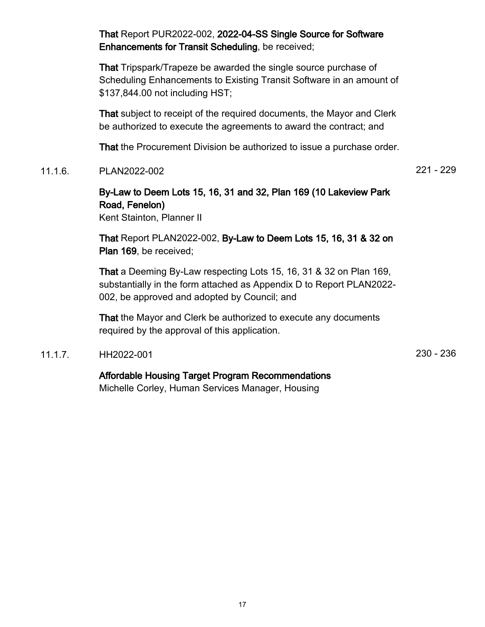That Report PUR2022-002, 2022-04-SS Single Source for Software Enhancements for Transit Scheduling, be received;

That Tripspark/Trapeze be awarded the single source purchase of Scheduling Enhancements to Existing Transit Software in an amount of \$137,844.00 not including HST;

That subject to receipt of the required documents, the Mayor and Clerk be authorized to execute the agreements to award the contract; and

That the Procurement Division be authorized to issue a purchase order.

11.1.6. PLAN2022-002 221 - 229

# By-Law to Deem Lots 15, 16, 31 and 32, Plan 169 (10 Lakeview Park Road, Fenelon)

Kent Stainton, Planner II

That Report PLAN2022-002, By-Law to Deem Lots 15, 16, 31 & 32 on Plan 169, be received;

That a Deeming By-Law respecting Lots 15, 16, 31 & 32 on Plan 169, substantially in the form attached as Appendix D to Report PLAN2022- 002, be approved and adopted by Council; and

That the Mayor and Clerk be authorized to execute any documents required by the approval of this application.

11.1.7. HH2022-001 230 - 236

# Affordable Housing Target Program Recommendations

Michelle Corley, Human Services Manager, Housing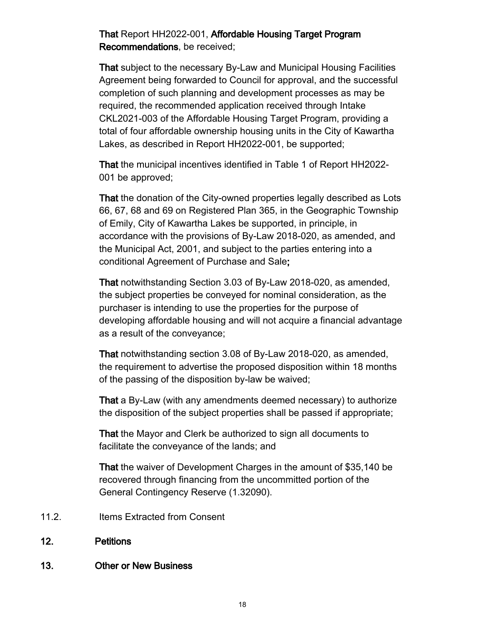# That Report HH2022-001, Affordable Housing Target Program Recommendations, be received;

That subject to the necessary By-Law and Municipal Housing Facilities Agreement being forwarded to Council for approval, and the successful completion of such planning and development processes as may be required, the recommended application received through Intake CKL2021-003 of the Affordable Housing Target Program, providing a total of four affordable ownership housing units in the City of Kawartha Lakes, as described in Report HH2022-001, be supported;

That the municipal incentives identified in Table 1 of Report HH2022- 001 be approved;

That the donation of the City-owned properties legally described as Lots 66, 67, 68 and 69 on Registered Plan 365, in the Geographic Township of Emily, City of Kawartha Lakes be supported, in principle, in accordance with the provisions of By-Law 2018-020, as amended, and the Municipal Act, 2001, and subject to the parties entering into a conditional Agreement of Purchase and Sale;

That notwithstanding Section 3.03 of By-Law 2018-020, as amended, the subject properties be conveyed for nominal consideration, as the purchaser is intending to use the properties for the purpose of developing affordable housing and will not acquire a financial advantage as a result of the conveyance;

That notwithstanding section 3.08 of By-Law 2018-020, as amended, the requirement to advertise the proposed disposition within 18 months of the passing of the disposition by-law be waived;

That a By-Law (with any amendments deemed necessary) to authorize the disposition of the subject properties shall be passed if appropriate;

That the Mayor and Clerk be authorized to sign all documents to facilitate the conveyance of the lands; and

That the waiver of Development Charges in the amount of \$35,140 be recovered through financing from the uncommitted portion of the General Contingency Reserve (1.32090).

- 11.2. Items Extracted from Consent
- 12. Petitions

# 13. Other or New Business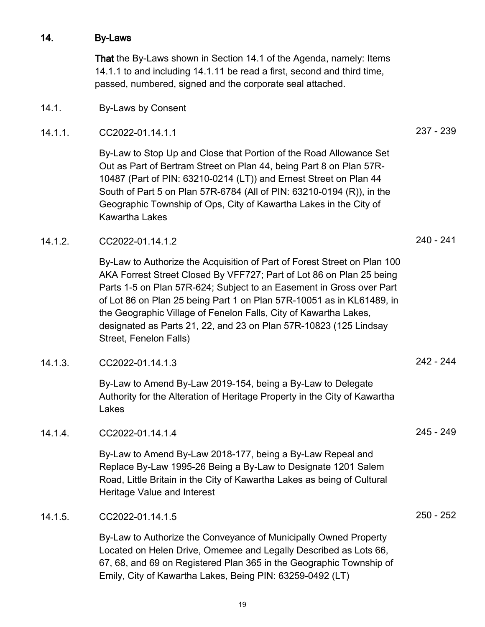#### 14. By-Laws

That the By-Laws shown in Section 14.1 of the Agenda, namely: Items 14.1.1 to and including 14.1.11 be read a first, second and third time, passed, numbered, signed and the corporate seal attached.

- 14.1. By-Laws by Consent
- 14.1.1. CC2022-01.14.1.1 237 239

By-Law to Stop Up and Close that Portion of the Road Allowance Set Out as Part of Bertram Street on Plan 44, being Part 8 on Plan 57R-10487 (Part of PIN: 63210-0214 (LT)) and Ernest Street on Plan 44 South of Part 5 on Plan 57R-6784 (All of PIN: 63210-0194 (R)), in the Geographic Township of Ops, City of Kawartha Lakes in the City of Kawartha Lakes

14.1.2. CC2022-01.14.1.2 240 - 241

By-Law to Authorize the Acquisition of Part of Forest Street on Plan 100 AKA Forrest Street Closed By VFF727; Part of Lot 86 on Plan 25 being Parts 1-5 on Plan 57R-624; Subject to an Easement in Gross over Part of Lot 86 on Plan 25 being Part 1 on Plan 57R-10051 as in KL61489, in the Geographic Village of Fenelon Falls, City of Kawartha Lakes, designated as Parts 21, 22, and 23 on Plan 57R-10823 (125 Lindsay Street, Fenelon Falls)

14.1.3. CC2022-01.14.1.3 242 - 244

By-Law to Amend By-Law 2019-154, being a By-Law to Delegate Authority for the Alteration of Heritage Property in the City of Kawartha Lakes

14.1.4. CC2022-01.14.1.4 245 - 249

By-Law to Amend By-Law 2018-177, being a By-Law Repeal and Replace By-Law 1995-26 Being a By-Law to Designate 1201 Salem Road, Little Britain in the City of Kawartha Lakes as being of Cultural Heritage Value and Interest

14.1.5. CC2022-01.14.1.5 250 - 252

By-Law to Authorize the Conveyance of Municipally Owned Property Located on Helen Drive, Omemee and Legally Described as Lots 66, 67, 68, and 69 on Registered Plan 365 in the Geographic Township of Emily, City of Kawartha Lakes, Being PIN: 63259-0492 (LT)

- 
-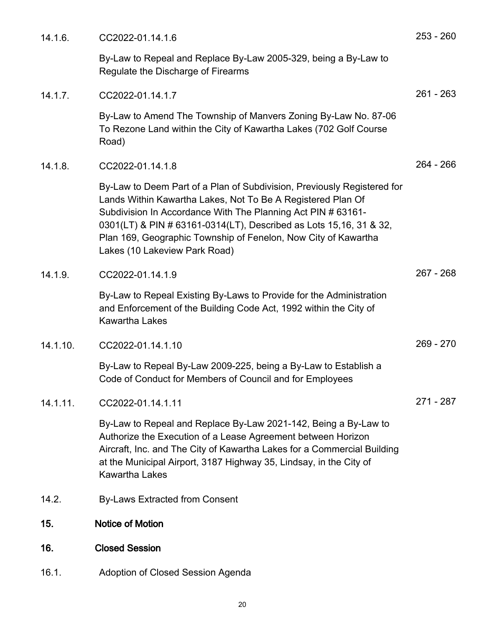| 14.1.6.     | CC2022-01.14.1.6                                                                                                                                                                                                                                                                                                                                                                | $253 - 260$ |
|-------------|---------------------------------------------------------------------------------------------------------------------------------------------------------------------------------------------------------------------------------------------------------------------------------------------------------------------------------------------------------------------------------|-------------|
|             | By-Law to Repeal and Replace By-Law 2005-329, being a By-Law to<br>Regulate the Discharge of Firearms                                                                                                                                                                                                                                                                           |             |
| 14.1.7.     | CC2022-01.14.1.7                                                                                                                                                                                                                                                                                                                                                                | $261 - 263$ |
|             | By-Law to Amend The Township of Manvers Zoning By-Law No. 87-06<br>To Rezone Land within the City of Kawartha Lakes (702 Golf Course<br>Road)                                                                                                                                                                                                                                   |             |
| 14.1.8.     | CC2022-01.14.1.8                                                                                                                                                                                                                                                                                                                                                                | $264 - 266$ |
|             | By-Law to Deem Part of a Plan of Subdivision, Previously Registered for<br>Lands Within Kawartha Lakes, Not To Be A Registered Plan Of<br>Subdivision In Accordance With The Planning Act PIN # 63161-<br>0301(LT) & PIN # 63161-0314(LT), Described as Lots 15,16, 31 & 32,<br>Plan 169, Geographic Township of Fenelon, Now City of Kawartha<br>Lakes (10 Lakeview Park Road) |             |
| 14.1.9.     | CC2022-01.14.1.9                                                                                                                                                                                                                                                                                                                                                                | $267 - 268$ |
|             | By-Law to Repeal Existing By-Laws to Provide for the Administration<br>and Enforcement of the Building Code Act, 1992 within the City of<br><b>Kawartha Lakes</b>                                                                                                                                                                                                               |             |
| 14.1.10.    | CC2022-01.14.1.10                                                                                                                                                                                                                                                                                                                                                               | $269 - 270$ |
|             | By-Law to Repeal By-Law 2009-225, being a By-Law to Establish a<br>Code of Conduct for Members of Council and for Employees                                                                                                                                                                                                                                                     |             |
| $14.1.11$ . | CC2022-01.14.1.11                                                                                                                                                                                                                                                                                                                                                               | 271 - 287   |
|             | By-Law to Repeal and Replace By-Law 2021-142, Being a By-Law to<br>Authorize the Execution of a Lease Agreement between Horizon<br>Aircraft, Inc. and The City of Kawartha Lakes for a Commercial Building<br>at the Municipal Airport, 3187 Highway 35, Lindsay, in the City of<br><b>Kawartha Lakes</b>                                                                       |             |
| 14.2.       | <b>By-Laws Extracted from Consent</b>                                                                                                                                                                                                                                                                                                                                           |             |
| 15.         | <b>Notice of Motion</b>                                                                                                                                                                                                                                                                                                                                                         |             |
| 16.         | <b>Closed Session</b>                                                                                                                                                                                                                                                                                                                                                           |             |
| 16.1.       | Adoption of Closed Session Agenda                                                                                                                                                                                                                                                                                                                                               |             |